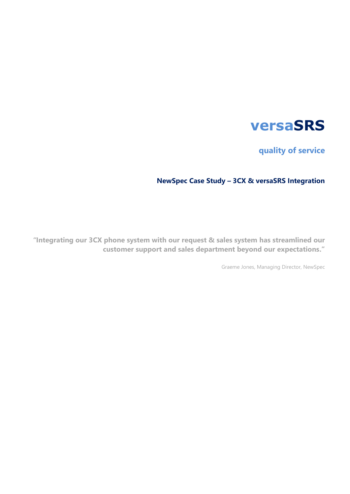# **versaSRS**

**quality of service**

# **NewSpec Case Study – 3CX & versaSRS Integration**

*"***Integrating our 3CX phone system with our request & sales system has streamlined our customer support and sales department beyond our expectations."**

Graeme Jones, Managing Director, NewSpec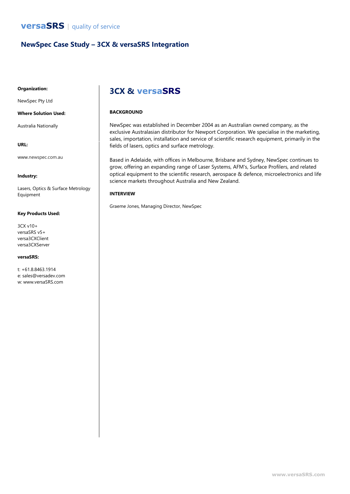### **NewSpec Case Study – 3CX & versaSRS Integration**

### **Organization:**

NewSpec Pty Ltd

### **Where Solution Used:**

Australia Nationally

### **URL:**

www.newspec.com.au

### **Industry:**

Lasers, Optics & Surface Metrology Equipment

### **Key Products Used:**

3CX v10+ versaSRS v5+ versa3CXClient versa3CXServer

#### **versaSRS:**

t: +61.8.8463.1914 e: sales@versadev.com w: www.versaSRS.com

## **3CX & versaSRS**

### **BACKGROUND**

NewSpec was established in December 2004 as an Australian owned company, as the exclusive Australasian distributor for Newport Corporation. We specialise in the marketing, sales, importation, installation and service of scientific research equipment, primarily in the fields of lasers, optics and surface metrology.

Based in Adelaide, with offices in Melbourne, Brisbane and Sydney, NewSpec continues to grow, offering an expanding range of Laser Systems, AFM's, Surface Profilers, and related optical equipment to the scientific research, aerospace & defence, microelectronics and life science markets throughout Australia and New Zealand.

### **INTERVIEW**

Graeme Jones, Managing Director, NewSpec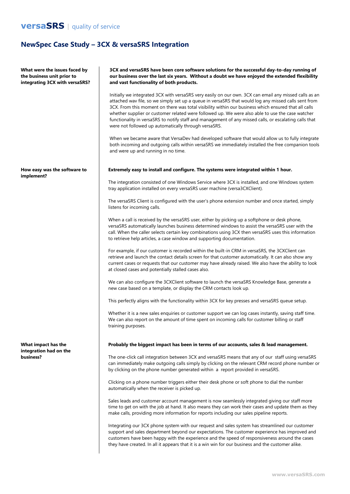### **versaSRS** | quality of service

### **NewSpec Case Study – 3CX & versaSRS Integration**

**What were the issues faced by the business unit prior to integrating 3CX with versaSRS?**

#### **How easy was the software to implement?**

**What impact has the integration had on the business?**

**3CX and versaSRS have been core software solutions for the successful day-to-day running of our business over the last six years. Without a doubt we have enjoyed the extended flexibility and vast functionality of both products.**

Initially we integrated 3CX with versaSRS very easily on our own. 3CX can email any missed calls as an attached wav file, so we simply set up a queue in versaSRS that would log any missed calls sent from 3CX. From this moment on there was total visibility within our business which ensured that all calls whether supplier or customer related were followed up. We were also able to use the case watcher functionality in versaSRS to notify staff and management of any missed calls, or escalating calls that were not followed up automatically through versaSRS.

When we became aware that VersaDev had developed software that would allow us to fully integrate both incoming and outgoing calls within versaSRS we immediately installed the free companion tools and were up and running in no time.

#### **Extremely easy to install and configure. The systems were integrated within 1 hour.**

The integration consisted of one Windows Service where 3CX is installed, and one Windows system tray application installed on every versaSRS user machine (versa3CXClient).

The versaSRS Client is configured with the user's phone extension number and once started, simply listens for incoming calls.

When a call is received by the versaSRS user, either by picking up a softphone or desk phone, versaSRS automatically launches business determined windows to assist the versaSRS user with the call. When the caller selects certain key combinations using 3CX then versaSRS uses this information to retrieve help articles, a case window and supporting documentation.

For example, if our customer is recorded within the built-in CRM in versaSRS, the 3CXClient can retrieve and launch the contact details screen for that customer automatically. It can also show any current cases or requests that our customer may have already raised. We also have the ability to look at closed cases and potentially stalled cases also.

We can also configure the 3CXClient software to launch the versaSRS Knowledge Base, generate a new case based on a template, or display the CRM contacts look up.

This perfectly aligns with the functionality within 3CX for key presses and versaSRS queue setup.

Whether it is a new sales enquiries or customer support we can log cases instantly, saving staff time. We can also report on the amount of time spent on incoming calls for customer billing or staff training purposes.

#### **Probably the biggest impact has been in terms of our accounts, sales & lead management.**

The one-click call integration between 3CX and versaSRS means that any of our staff using versaSRS can immediately make outgoing calls simply by clicking on the relevant CRM record phone number or by clicking on the phone number generated within a report provided in versaSRS.

Clicking on a phone number triggers either their desk phone or soft phone to dial the number automatically when the receiver is picked up.

Sales leads and customer account management is now seamlessly integrated giving our staff more time to get on with the job at hand. It also means they can work their cases and update them as they make calls, providing more information for reports including our sales pipeline reports.

Integrating our 3CX phone system with our request and sales system has streamlined our customer support and sales department beyond our expectations. The customer experience has improved and customers have been happy with the experience and the speed of responsiveness around the cases they have created. In all it appears that it is a win win for our business and the customer alike.